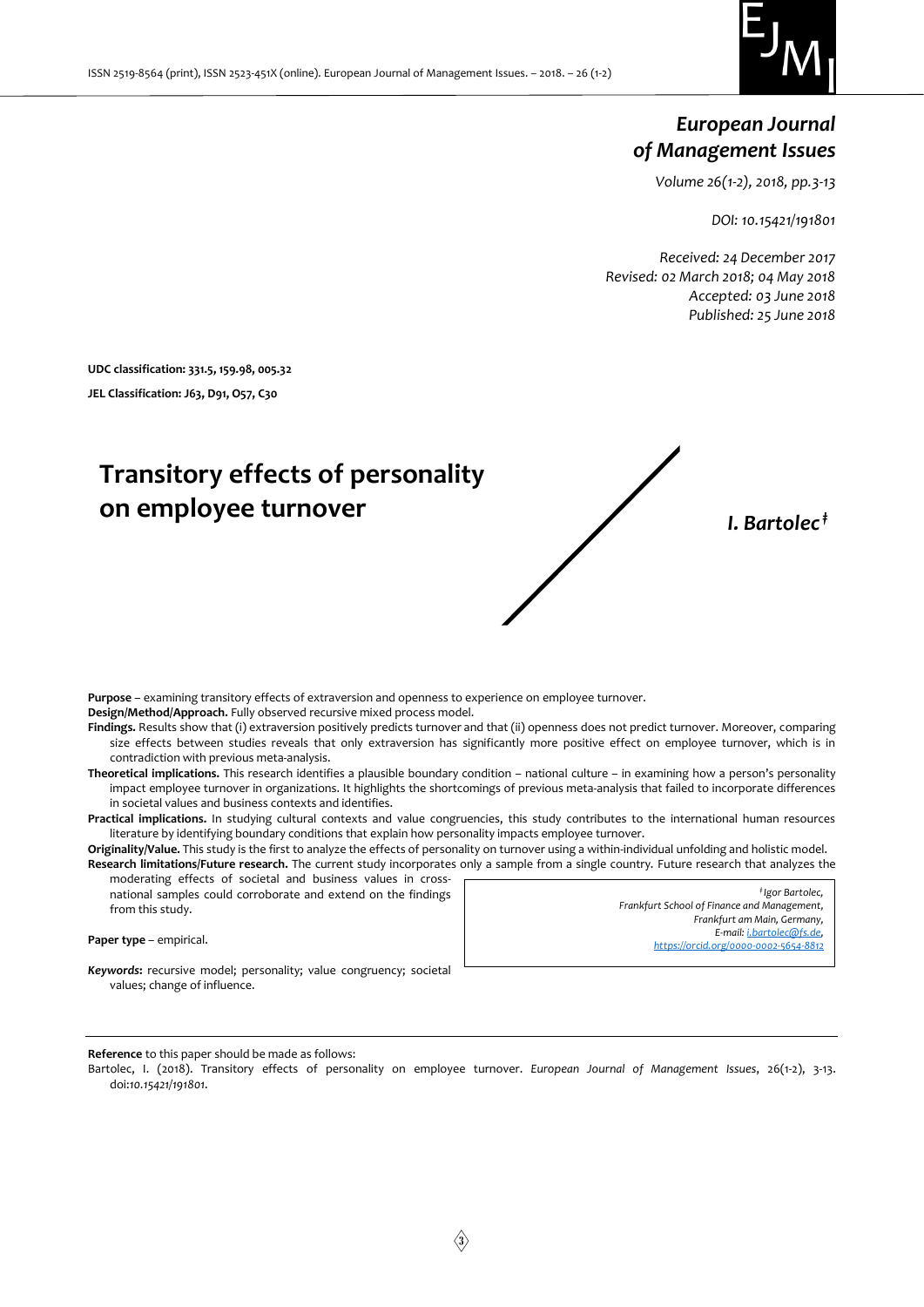

# *European Journal of Management Issues*

*Volume 26(1-2), 2018, pp.3-13*

*DOI: 10.15421/191801*

*Received: 24 December 2017 Revised: 02 March 2018; 04 May 2018 Accepted: 03 June 2018 Published: 25 June 2018*

**UDC classification: 331.5, 159.98, 005.32 JEL Classification: J63, D91, O57, C30**

# **Transitory effects of personality on employee turnover** *I. Bartolec ‡*

**Purpose** – examining transitory effects of extraversion and openness to experience on employee turnover.

**Design/Method/Approach.** Fully observed recursive mixed process model.

**Findings.** Results show that (i) extraversion positively predicts turnover and that (ii) openness does not predict turnover. Moreover, comparing size effects between studies reveals that only extraversion has significantly more positive effect on employee turnover, which is in contradiction with previous meta-analysis.

Theoretical implications. This research identifies a plausible boundary condition – national culture – in examining how a person's personality impact employee turnover in organizations. It highlights the shortcomings of previous meta-analysis that failed to incorporate differences in societal values and business contexts and identifies.

**Practical implications.** In studying cultural contexts and value congruencies, this study contributes to the international human resources literature by identifying boundary conditions that explain how personality impacts employee turnover.

**Originality/Value.** This study is the first to analyze the effects of personality on turnover using a within-individual unfolding and holistic model. **Research limitations/Future research.** The current study incorporates only a sample from a single country. Future research that analyzes the

moderating effects of societal and business values in crossnational samples could corroborate and extend on the findings from this study.

**Paper type** – empirical.

*‡ Igor Bartolec, Frankfurt School of Finance and Management, Frankfurt am Main, Germany, E-mail[: i.bartolec@fs.de,](mailto:i.bartolec@fs.de)  <https://orcid.org/0000-0002-5654-8812>*

*Keywords***:** recursive model; personality; value congruency; societal values; change of influence.

**Reference** to this paper should be made as follows:

Bartolec, I. (2018). Transitory effects of personality on employee turnover. *European Journal of Management Issues*, 26(1-2), 3-13. doi:*10.15421/191801*.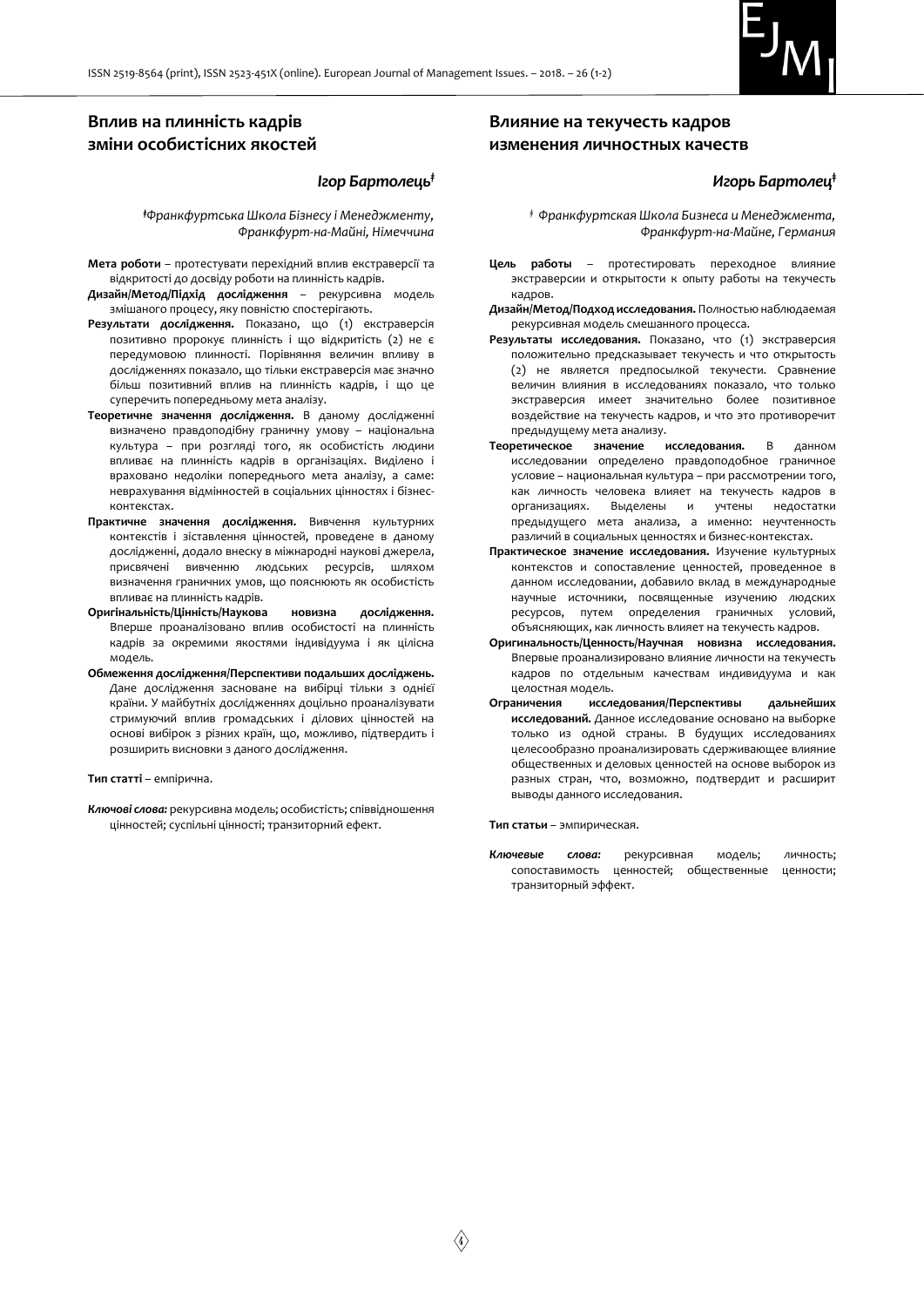

# **Вплив на плинність кадрів зміни особистісних якостей**

#### *Ігор Бартолець‡*

*‡Франкфуртська Школа Бізнесу і Менеджменту, Франкфурт-на-Майні, Німеччина*

- **Мета роботи** протестувати перехідний вплив екстраверсії та відкритості до досвіду роботи на плинність кадрів.
- **Дизайн/Метод/Підхід дослідження** рекурсивна модель змішаного процесу, яку повністю спостерігають.
- **Результати дослідження.** Показано, що (1) екстраверсія позитивно пророкує плинність і що відкритість (2) не є передумовою плинності. Порівняння величин впливу в дослідженнях показало, що тільки екстраверсія має значно більш позитивний вплив на плинність кадрів, і що це суперечить попередньому мета аналізу.
- **Теоретичне значення дослідження.** В даному дослідженні визначено правдоподібну граничну умову – національна культура – при розгляді того, як особистість людини впливає на плинність кадрів в організаціях. Виділено і враховано недоліки попереднього мета аналізу, а саме: неврахування відмінностей в соціальних цінностях і бізнесконтекстах.
- **Практичне значення дослідження.** Вивчення культурних контекстів і зіставлення цінностей, проведене в даному дослідженні, додало внеску в міжнародні наукові джерела, присвячені вивченню людських ресурсів, шляхом визначення граничних умов, що пояснюють як особистість впливає на плинність кадрів.
- **Оригінальність/Цінність/Наукова новизна дослідження.** Вперше проаналізовано вплив особистості на плинність кадрів за окремими якостями індивідуума і як цілісна модель.
- **Обмеження дослідження/Перспективи подальших досліджень.**  Дане дослідження засноване на вибірці тільки з однієї країни. У майбутніх дослідженнях доцільно проаналізувати стримуючий вплив громадських і ділових цінностей на основі вибірок з різних країн, що, можливо, підтвердить і розширить висновки з даного дослідження.

#### **Тип статті** – емпірична.

*Ключові слова:* рекурсивна модель; особистість; співвідношення цінностей; суспільні цінності; транзиторний ефект.

## **Влияние на текучесть кадров изменения личностных качеств**

## *Игорь Бартолец***‡**

*‡ Франкфуртская Школа Бизнеса и Менеджмента, Франкфурт-на-Майне, Германия*

- **Цель работы** протестировать переходное влияние экстраверсии и открытости к опыту работы на текучесть кадров.
- **Дизайн/Метод/Подход исследования.** Полностью наблюдаемая рекурсивная модель смешанного процесса.
- **Результаты исследования.** Показано, что (1) экстраверсия положительно предсказывает текучесть и что открытость (2) не является предпосылкой текучести. Сравнение величин влияния в исследованиях показало, что только экстраверсия имеет значительно более позитивное воздействие на текучесть кадров, и что это противоречит предыдущему мета анализу.
- **Теоретическое значение исследования.** В данном исследовании определено правдоподобное граничное условие – национальная культура – при рассмотрении того, как личность человека влияет на текучесть кадров в организациях. Выделены и учтены недостатки предыдущего мета анализа, а именно: неучтенность различий в социальных ценностях и бизнес-контекстах.
- **Практическое значение исследования.** Изучение культурных контекстов и сопоставление ценностей, проведенное в данном исследовании, добавило вклад в международные научные источники, посвященные изучению людских ресурсов, путем определения граничных условий, объясняющих, как личность влияет на текучесть кадров.
- **Оригинальность/Ценность/Научная новизна исследования.**  Впервые проанализировано влияние личности на текучесть кадров по отдельным качествам индивидуума и как целостная модель.
- **Ограничения исследования/Перспективы дальнейших исследований.** Данное исследование основано на выборке только из одной страны. В будущих исследованиях целесообразно проанализировать сдерживающее влияние общественных и деловых ценностей на основе выборок из разных стран, что, возможно, подтвердит и расширит выводы данного исследования.

#### **Тип статьи** – эмпирическая.

*Ключевые слова:* рекурсивная модель; личность; сопоставимость ценностей; общественные ценности; транзиторный эффект.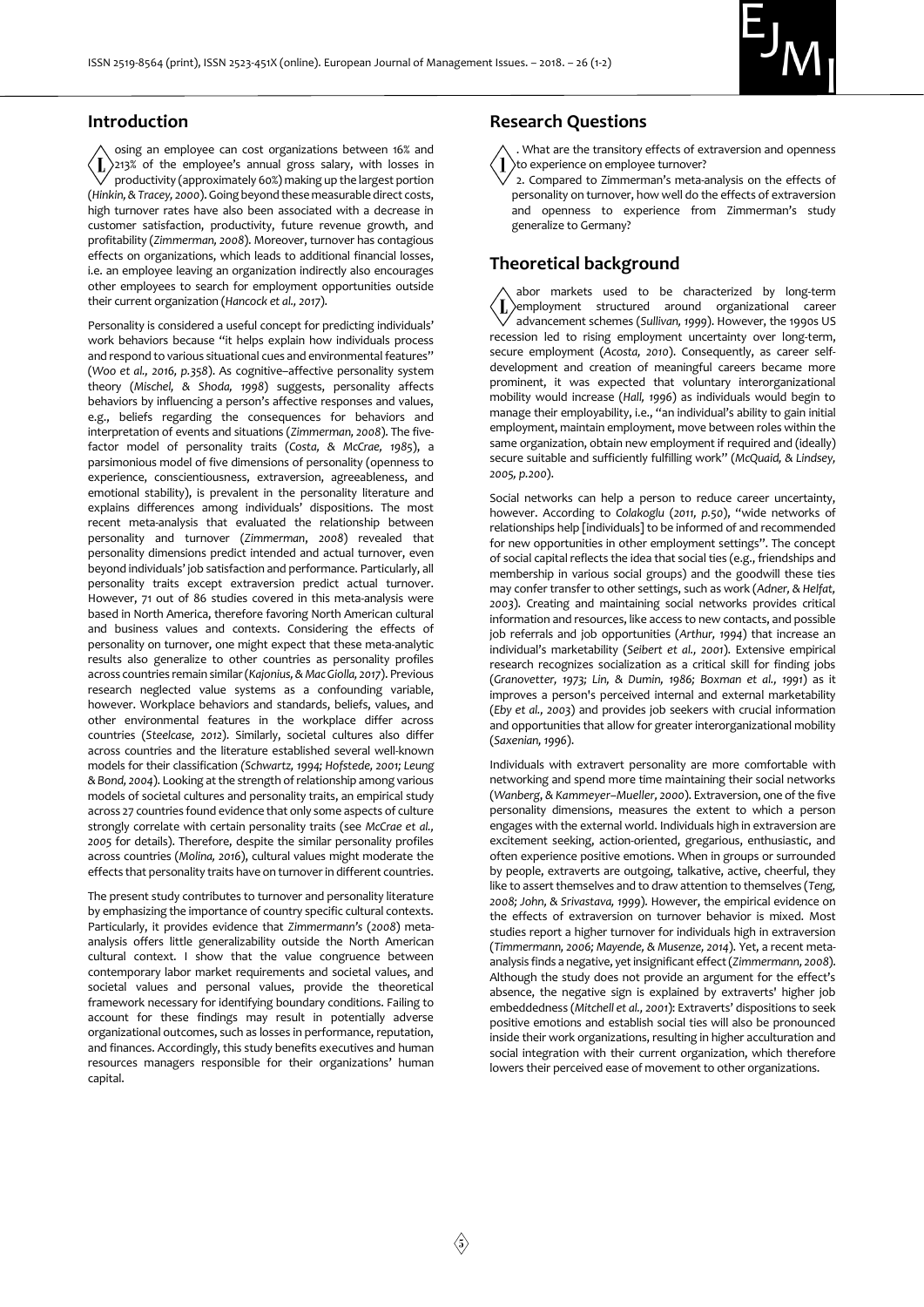

## **Introduction**

osing an employee can cost organizations between 16% and  $\langle L \rangle$ 213% of the employee's annual gross salary, with losses in productivity (approximately 60%) making up the largest portion (*Hinkin,& Tracey, 2000*). Going beyond these measurable direct costs, high turnover rates have also been associated with a decrease in customer satisfaction, productivity, future revenue growth, and profitability (*Zimmerman, 2008*). Moreover, turnover has contagious effects on organizations, which leads to additional financial losses, i.e. an employee leaving an organization indirectly also encourages other employees to search for employment opportunities outside their current organization (*Hancock et al., 2017*).

Personality is considered a useful concept for predicting individuals' work behaviors because "it helps explain how individuals process and respond to various situational cues and environmental features" (*Woo et al., 2016, p.358*). As cognitive–affective personality system theory (*Mischel, & Shoda, 1998*) suggests, personality affects behaviors by influencing a person's affective responses and values, e.g., beliefs regarding the consequences for behaviors and interpretation of events and situations (*Zimmerman, 2008*). The fivefactor model of personality traits (*Costa, & McCrae, 1985*), a parsimonious model of five dimensions of personality (openness to experience, conscientiousness, extraversion, agreeableness, and emotional stability), is prevalent in the personality literature and explains differences among individuals' dispositions. The most recent meta-analysis that evaluated the relationship between personality and turnover (*Zimmerman*, *2008*) revealed that personality dimensions predict intended and actual turnover, even beyond individuals' job satisfaction and performance. Particularly, all personality traits except extraversion predict actual turnover. However, 71 out of 86 studies covered in this meta-analysis were based in North America, therefore favoring North American cultural and business values and contexts. Considering the effects of personality on turnover, one might expect that these meta-analytic results also generalize to other countries as personality profiles across countries remain similar (*Kajonius,& Mac Giolla, 2017*). Previous research neglected value systems as a confounding variable, however. Workplace behaviors and standards, beliefs, values, and other environmental features in the workplace differ across countries (*Steelcase, 2012*). Similarly, societal cultures also differ across countries and the literature established several well-known models for their classification *(Schwartz, 1994; Hofstede, 2001; Leung & Bond, 2004*). Looking at the strength of relationship among various models of societal cultures and personality traits, an empirical study across 27 countries found evidence that only some aspects of culture strongly correlate with certain personality traits (see *McCrae et al., 2005* for details). Therefore, despite the similar personality profiles across countries (*Molina, 2016*), cultural values might moderate the effects that personality traits have on turnover in different countries.

The present study contributes to turnover and personality literature by emphasizing the importance of country specific cultural contexts. Particularly, it provides evidence that *Zimmermann's* (*2008*) metaanalysis offers little generalizability outside the North American cultural context. I show that the value congruence between contemporary labor market requirements and societal values, and societal values and personal values, provide the theoretical framework necessary for identifying boundary conditions. Failing to account for these findings may result in potentially adverse organizational outcomes, such as losses in performance, reputation, and finances. Accordingly, this study benefits executives and human resources managers responsible for their organizations' human capital.

## **Research Questions**

. What are the transitory effects of extraversion and openness to experience on employee turnover?

2. Compared to Zimmerman's meta-analysis on the effects of personality on turnover, how well do the effects of extraversion and openness to experience from Zimmerman's study generalize to Germany?

# **Theoretical background**

abor markets used to be characterized by long-term employment structured around organizational career advancement schemes (*Sullivan, 1999*). However, the 1990s US recession led to rising employment uncertainty over long-term, secure employment (*Acosta, 2010*). Consequently, as career selfdevelopment and creation of meaningful careers became more prominent, it was expected that voluntary interorganizational mobility would increase (*Hall, 1996*) as individuals would begin to manage their employability, i.e., "an individual's ability to gain initial employment, maintain employment, move between roles within the same organization, obtain new employment if required and (ideally) secure suitable and sufficiently fulfilling work" (*McQuaid, & Lindsey, 2005, p.200*).

Social networks can help a person to reduce career uncertainty, however. According to *Colakoglu* (*2011, p.50*), "wide networks of relationships help [individuals] to be informed of and recommended for new opportunities in other employment settings". The concept of social capital reflects the idea that social ties (e.g., friendships and membership in various social groups) and the goodwill these ties may confer transfer to other settings, such as work (*Adner, & Helfat, 2003*). Creating and maintaining social networks provides critical information and resources, like access to new contacts, and possible job referrals and job opportunities (*Arthur, 1994*) that increase an individual's marketability (*Seibert et al., 2001*). Extensive empirical research recognizes socialization as a critical skill for finding jobs (*Granovetter, 1973; Lin, & Dumin, 1986; Boxman et al., 1991*) as it improves a person's perceived internal and external marketability (*Eby et al., 2003*) and provides job seekers with crucial information and opportunities that allow for greater interorganizational mobility (*Saxenian, 1996*).

Individuals with extravert personality are more comfortable with networking and spend more time maintaining their social networks (*Wanberg*, *& Kammeyer–Mueller, 2000*). Extraversion, one of the five personality dimensions, measures the extent to which a person engages with the external world. Individuals high in extraversion are excitement seeking, action-oriented, gregarious, enthusiastic, and often experience positive emotions. When in groups or surrounded by people, extraverts are outgoing, talkative, active, cheerful, they like to assert themselves and to draw attention to themselves (*Teng, 2008; John, & Srivastava, 1999*). However, the empirical evidence on the effects of extraversion on turnover behavior is mixed. Most studies report a higher turnover for individuals high in extraversion (*Timmermann, 2006; Mayende, & Musenze, 2014*). Yet, a recent metaanalysis finds a negative, yet insignificant effect (*Zimmermann, 2008*). Although the study does not provide an argument for the effect's absence, the negative sign is explained by extraverts' higher job embeddedness (*Mitchell et al., 2001*): Extraverts' dispositions to seek positive emotions and establish social ties will also be pronounced inside their work organizations, resulting in higher acculturation and social integration with their current organization, which therefore lowers their perceived ease of movement to other organizations.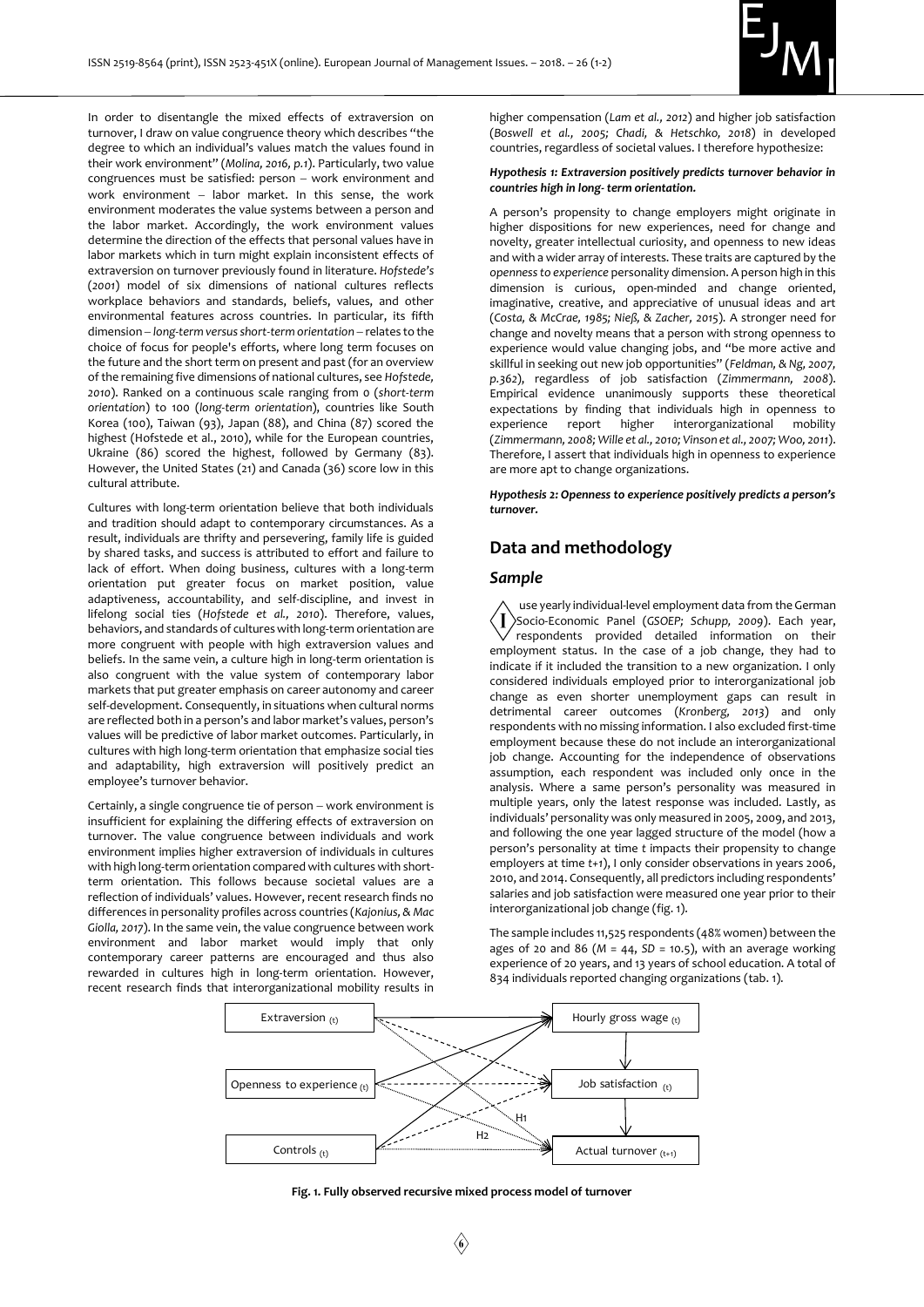

In order to disentangle the mixed effects of extraversion on turnover, I draw on value congruence theory which describes "the degree to which an individual's values match the values found in their work environment" (*Molina, 2016, p.1*). Particularly, two value  $congruences must be satisfied: person - work environment and$ work environment  $-$  labor market. In this sense, the work environment moderates the value systems between a person and the labor market. Accordingly, the work environment values determine the direction of the effects that personal values have in labor markets which in turn might explain inconsistent effects of extraversion on turnover previously found in literature. *Hofstede's* (*2001*) model of six dimensions of national cultures reflects workplace behaviors and standards, beliefs, values, and other environmental features across countries. In particular, its fifth dimension - long-term versus short-term orientation - relates to the choice of focus for people's efforts, where long term focuses on the future and the short term on present and past (for an overview of the remaining five dimensions of national cultures, see *Hofstede, 2010*). Ranked on a continuous scale ranging from 0 (*short-term orientation*) to 100 (*long-term orientation*), countries like South Korea (100), Taiwan (93), Japan (88), and China (87) scored the highest (Hofstede et al., 2010), while for the European countries, Ukraine (86) scored the highest, followed by Germany (83). However, the United States (21) and Canada (36) score low in this cultural attribute.

Cultures with long-term orientation believe that both individuals and tradition should adapt to contemporary circumstances. As a result, individuals are thrifty and persevering, family life is guided by shared tasks, and success is attributed to effort and failure to lack of effort. When doing business, cultures with a long-term orientation put greater focus on market position, value adaptiveness, accountability, and self-discipline, and invest in lifelong social ties (*Hofstede et al., 2010*). Therefore, values, behaviors, and standards of cultures with long-term orientation are more congruent with people with high extraversion values and beliefs. In the same vein, a culture high in long-term orientation is also congruent with the value system of contemporary labor markets that put greater emphasis on career autonomy and career self-development. Consequently, in situations when cultural norms are reflected both in a person's and labor market's values, person's values will be predictive of labor market outcomes. Particularly, in cultures with high long-term orientation that emphasize social ties and adaptability, high extraversion will positively predict an employee's turnover behavior.

Certainly, a single congruence tie of person - work environment is insufficient for explaining the differing effects of extraversion on turnover. The value congruence between individuals and work environment implies higher extraversion of individuals in cultures with high long-term orientation compared with cultures with shortterm orientation. This follows because societal values are a reflection of individuals' values. However, recent research finds no differences in personality profiles across countries (*Kajonius, & Mac Giolla, 2017*). In the same vein, the value congruence between work environment and labor market would imply that only contemporary career patterns are encouraged and thus also rewarded in cultures high in long-term orientation. However, recent research finds that interorganizational mobility results in

higher compensation (*Lam et al., 2012*) and higher job satisfaction (*Boswell et al., 2005; Chadi, & Hetschko, 2018*) in developed countries, regardless of societal values. I therefore hypothesize:

#### *Hypothesis 1: Extraversion positively predicts turnover behavior in countries high in long- term orientation.*

A person's propensity to change employers might originate in higher dispositions for new experiences, need for change and novelty, greater intellectual curiosity, and openness to new ideas and with a wider array of interests. These traits are captured by the *openness to experience* personality dimension. A person high in this dimension is curious, open-minded and change oriented, imaginative, creative, and appreciative of unusual ideas and art (*Costa, & McCrae, 1985; Nieß, & Zacher, 2015*). A stronger need for change and novelty means that a person with strong openness to experience would value changing jobs, and "be more active and skillful in seeking out new job opportunities" (*Feldman, & Ng, 2007, p.362*), regardless of job satisfaction (*Zimmermann, 2008*). Empirical evidence unanimously supports these theoretical expectations by finding that individuals high in openness to experience report higher interorganizational mobility (*Zimmermann, 2008; Wille et al., 2010; Vinson et al., 2007; Woo, 2011*). Therefore, I assert that individuals high in openness to experience are more apt to change organizations.

*Hypothesis 2: Openness to experience positively predicts a person's turnover.* 

# **Data and methodology**

#### *Sample*

use yearly individual-level employment data from the German Socio-Economic Panel (*GSOEP; Schupp, 2009*). Each year, respondents provided detailed information on their employment status. In the case of a job change, they had to indicate if it included the transition to a new organization. I only considered individuals employed prior to interorganizational job change as even shorter unemployment gaps can result in detrimental career outcomes (*Kronberg, 2013*) and only respondents with no missing information. I also excluded first-time employment because these do not include an interorganizational job change. Accounting for the independence of observations assumption, each respondent was included only once in the analysis. Where a same person's personality was measured in multiple years, only the latest response was included. Lastly, as individuals' personality was only measured in 2005, 2009, and 2013, and following the one year lagged structure of the model (how a person's personality at time *t* impacts their propensity to change employers at time *t+1*), I only consider observations in years 2006, 2010, and 2014. Consequently, all predictors including respondents' salaries and job satisfaction were measured one year prior to their interorganizational job change (fig. 1).

The sample includes 11,525 respondents (48% women) between the ages of 20 and 86 ( $M = 44$ ,  $SD = 10.5$ ), with an average working experience of 20 years, and 13 years of school education. A total of 834 individuals reported changing organizations (tab. 1).



#### **Fig. 1. Fully observed recursive mixed process model of turnover**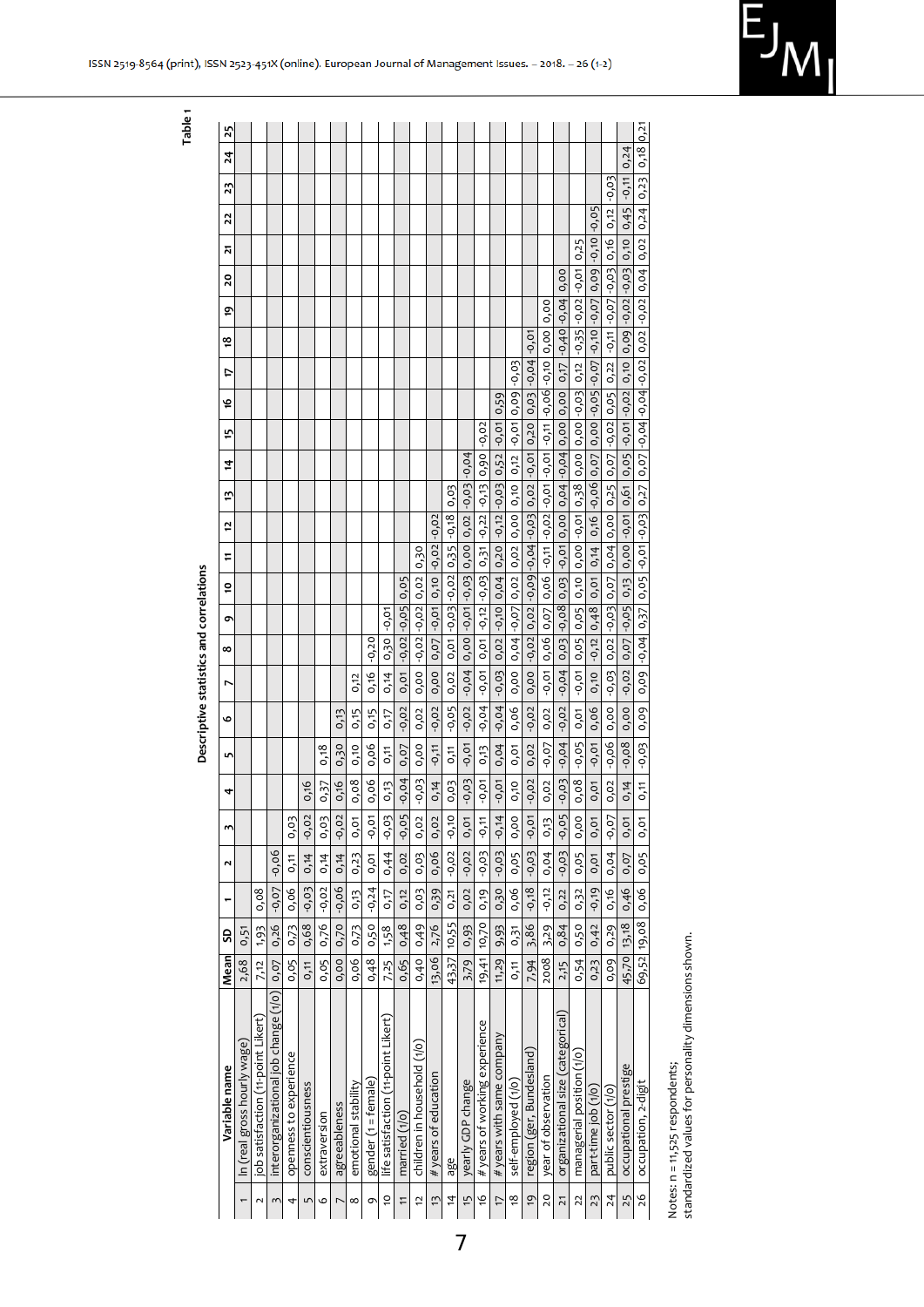| relamo nue -<br>i<br>ſ |
|------------------------|

**Table 1**

|                | Variable name                        | Mean        | S     |           | N         | $\mathbf{r}$ | 4         | 5       | O        | r                                                                                                                                    | ∞              | õ<br>ō                                            | F       | t,                                                     | ij              | $\ddot{a}$                | f,      | ڡۭ            | ¢               | ఴ                                                                                  | ē,   | $\overline{2}$<br>20 | 22                 | 23      | $^{24}$ | 25   |
|----------------|--------------------------------------|-------------|-------|-----------|-----------|--------------|-----------|---------|----------|--------------------------------------------------------------------------------------------------------------------------------------|----------------|---------------------------------------------------|---------|--------------------------------------------------------|-----------------|---------------------------|---------|---------------|-----------------|------------------------------------------------------------------------------------|------|----------------------|--------------------|---------|---------|------|
|                | In (real gross hourly wage           | 2,68        | 0,51  |           |           |              |           |         |          |                                                                                                                                      |                |                                                   |         |                                                        |                 |                           |         |               |                 |                                                                                    |      |                      |                    |         |         |      |
|                | job satisfaction (11-point Likert)   | 7,12        | 1,93  | 0.08      |           |              |           |         |          |                                                                                                                                      |                |                                                   |         |                                                        |                 |                           |         |               |                 |                                                                                    |      |                      |                    |         |         |      |
| z              | interorganizational job change (1/0) | 0.07        | 0.26  | $-0.07$   | $-0.06$   |              |           |         |          |                                                                                                                                      |                |                                                   |         |                                                        |                 |                           |         |               |                 |                                                                                    |      |                      |                    |         |         |      |
| 4              | openness to experience               | 0.05        | 0,73  | 0,06      | 0,11      | 0,03         |           |         |          |                                                                                                                                      |                |                                                   |         |                                                        |                 |                           |         |               |                 |                                                                                    |      |                      |                    |         |         |      |
| ц              | conscientiousness                    | 0,11        | 0,68  | $-0, 0$ 3 | 0,14      | $-0.02$      | 0,16      |         |          |                                                                                                                                      |                |                                                   |         |                                                        |                 |                           |         |               |                 |                                                                                    |      |                      |                    |         |         |      |
| o              | extraversion                         | 0,05        | 0,76  | $-0,02$   | 0,14      | 0,03         | 0,37      | 0,18    |          |                                                                                                                                      |                |                                                   |         |                                                        |                 |                           |         |               |                 |                                                                                    |      |                      |                    |         |         |      |
|                | agreeableness                        | 0.00        | 0,70  | $-0.06$   | 0,14      | $-0.02$      | 0,16      | 0,30    | 0,13     |                                                                                                                                      |                |                                                   |         |                                                        |                 |                           |         |               |                 |                                                                                    |      |                      |                    |         |         |      |
| ∞              | emotional stability                  | 0,06        | 0,73  | 0,13      | 0,23      | 0,01         | 0,08      | 0,10    | 0,15     | 0,12                                                                                                                                 |                |                                                   |         |                                                        |                 |                           |         |               |                 |                                                                                    |      |                      |                    |         |         |      |
| σ              | gender (1 = female)                  | 0,48        | 0,50  | $-0,24$   | 0,01      | $-0,01$      | 0,06      | 0,06    | 0,15     | 0,16                                                                                                                                 | $-0.20$        |                                                   |         |                                                        |                 |                           |         |               |                 |                                                                                    |      |                      |                    |         |         |      |
| $\overline{c}$ | life satisfaction (11-point Likert)  | 7,25        | 1,58  | 0,17      | 0,44      | -0,03        | 0,13      | 0,11    | 0,17     | 0,14                                                                                                                                 | 0.30           | $-0,01$                                           |         |                                                        |                 |                           |         |               |                 |                                                                                    |      |                      |                    |         |         |      |
| Ξ              | married $(1/0)$                      | 0,65        | 0,48  | 0,12      | 0,02      | $-0,05$      | $-0,04$   | 0,07    | $-0, 02$ | $0,01$ -0,02 -0,05                                                                                                                   |                | 0.05                                              |         |                                                        |                 |                           |         |               |                 |                                                                                    |      |                      |                    |         |         |      |
| 5              | children in household (1/0           | 0,40        | 0,49  | 0,03      | 0,03      | 0,02         | $-0, 0$   | 0,00    | 0,02     | 0,00                                                                                                                                 | $-0.02 - 0.02$ | 0,02                                              | 0,30    |                                                        |                 |                           |         |               |                 |                                                                                    |      |                      |                    |         |         |      |
| $\tilde{1}$    | # years of education                 | 13,06       | 2,76  | 0,39      | 0,06      | 0,02         | 0,14      | $-0,11$ | $-0,02$  | 0,00                                                                                                                                 | $0,07$ -0,01   | 0,10                                              | $-0.02$ | $-0.02$                                                |                 |                           |         |               |                 |                                                                                    |      |                      |                    |         |         |      |
| 4              | age                                  | 43,37 10,55 |       | 0,21      | $-0.02$   | $-0,10$      | 0,03      | 0,11    | $-0.05$  | 0,02                                                                                                                                 |                | $0, 01$   $-0, 03$   $-0, 02$   $0, 35$   $-0.18$ |         |                                                        | 0.03            |                           |         |               |                 |                                                                                    |      |                      |                    |         |         |      |
| $\frac{1}{2}$  | yearly GDP change                    | 3,79        | 0,93  | 0,02      | $-0,02$   | 0,01         | $-0, 0$   | $-0,01$ | $-0,02$  | $-0.04$ $\mid$ 0.00 $\mid$ -0.01 $\mid$ 0.03 $\mid$ 0.00 $\mid$ 0.02 $\mid$ -0.03 $\mid$ -0.04                                       |                |                                                   |         |                                                        |                 |                           |         |               |                 |                                                                                    |      |                      |                    |         |         |      |
| ò              | # years of working experience        | 19,41       | 10,70 | 0,19      | $-0,03$   | $-0,11$      | -0,01     | 0,13    | $-0.04$  | $-0,01$                                                                                                                              | 0,01           | $-0.12 - 0.03$                                    | 0,31    |                                                        | $-0,22$ $-0,13$ | 0,90                      | $-0,02$ |               |                 |                                                                                    |      |                      |                    |         |         |      |
| 17             | # years with same company            | 11,29       | 9,93  | 0,30      | $-0, 0$   | $-0,14$      | $-0,01$   | 0,04    | $-0,04$  | $-0,03$                                                                                                                              | $0,02$ $-0,10$ |                                                   |         | $0,04$   $0,20$   $-0,12$   $-0,03$   $0,52$   $-0,01$ |                 |                           |         | 0,59          |                 |                                                                                    |      |                      |                    |         |         |      |
| <u>و</u>       | self-employed (1/0)                  | 0,11        | 0,31  | 0,06      | 0,05      | 0,00         | 0,10      | 0.01    | 0.06     | 0.00                                                                                                                                 | $0.04 - 0.07$  |                                                   |         | 0,02 0,02 0,00                                         |                 | $0,10$   $0,12$   $-0,01$ |         | $0,09 - 0,03$ |                 |                                                                                    |      |                      |                    |         |         |      |
| 6              | region (ger, Bundesland)             | 7,94        | 3,86  | $-0,18$   | $-0, 0$ 3 | $-0,01$      | $-0,02$   | 0,02    | $-0,02$  | 0,00                                                                                                                                 |                | $-0.02$ 0.02 $-0.09$ $-0.04$ $-0.03$              |         |                                                        |                 | $0.02$ $-0.01$ $0.20$     |         | 0,03          | $-0,04$ $-0,01$ |                                                                                    |      |                      |                    |         |         |      |
| 20             | year of observation                  | 2008        | 3,29  | $-0,12$   | 0,04      | 0,13         | 0,02      | $-0,07$ | 0,02     | $-0,01$                                                                                                                              | 0,06 0,07      |                                                   |         | 0,06 -0,11 -0,02 -0,01 -0,01 -0,11 -0,10 -0,06 -0,10   |                 |                           |         |               |                 | 0.00                                                                               | 0.00 |                      |                    |         |         |      |
| 71             | organizational size (categorical)    | 2,15        | 0,84  | 0.22      | $-0,03$   | $-0,05$      | $-0, 0$ 3 | $-0,04$ | $-0.02$  | $-0.04\mid$ 0.03 $\mid$ 0.08 $\mid$ 0.09 $\mid$ 0.00 $\mid$ 0.04 $\mid$ 0.00 $\mid$ 0.00 $\mid$ 0.17 $\mid$ -0.40 $\mid$ 0.04 $\mid$ |                |                                                   |         |                                                        |                 |                           |         |               |                 |                                                                                    | 0.00 |                      |                    |         |         |      |
| 22             | managerial position (1/0)            | 0,54        | 0,50  | 0,32      | 0,05      | 0,00         | 0,08      | $-0.05$ | 0,01     | $-0.01$                                                                                                                              | 0,05 0,05      | 0,10                                              |         |                                                        |                 |                           |         |               |                 | $0,00$ -0,01 0,38 0,00 0,00 -0,03 0,12 -0,35 -0,02 -0,01                           |      | 0.25                 |                    |         |         |      |
| 23             | part-time job (1/0                   | 0,23        | 0,42  | $-0,19$   | 0,01      | 0,01         | 0,01      | -0,01   | 0.06     | 0,10                                                                                                                                 | $-0,12$        | 0,01<br>0,48                                      | 0,14    |                                                        |                 | $0,16$ -0,06 0,07         |         |               |                 | $0.00$ $-0.05$ $-0.07$ $-0.10$ $-0.07$                                             |      | 0,09                 | $-0.05$<br>$-0.10$ |         |         |      |
| 24             | public sector (1/0)                  | 0,09        | 0,29  | 0.16      | 0,04      | $-0,07$      | 0,02      | $-0.06$ | 0.00     | $-0,03$                                                                                                                              |                | $0.02$ $-0.03$ $0.07$                             |         | 0,04 0,00                                              |                 |                           |         |               |                 | $0,25$   $0,07$   $-0,02$   $0,05$   $0,22$   $-0,11$   $-0,07$   $-0,03$   $0,16$ |      |                      | 0.12               | $-0.03$ |         |      |
| 25             | occupational prestige                | 45,70 13,18 |       | 0,46      | 0,07      | 0,01         | 0,14      | $-0,08$ | 0.00     | $-0.02$ 0.07 $-0.05$                                                                                                                 |                | 0,13                                              |         |                                                        |                 |                           |         |               |                 | 0,00 -0,01 0,61 0,05 -0,01 -0,01 0,02 0,00 -0,02 -0,02 0,10 0,10 0,45 -0,11 0,24   |      |                      |                    |         |         |      |
| 26             | occupation, 2-digit                  | 69,52 19,08 |       | 0,06      | 0,05      | 0,01         | 0,11      | $-0,03$ | 0,09     | 0,09 -0,04 0,37                                                                                                                      |                |                                                   |         |                                                        |                 |                           |         |               |                 | 0,05 -0,03 0,27 0,07 -0,04 -0,04 -0,02 0,02 -0,02 0,04 0,02                        |      |                      | 0,24               | 0,23    | 0,18    | 0,21 |

Notes: n = 11,525 respondents;<br>standardized values for personality dimensions shown. standardized values for personality dimensions shown. Notes: n = 11,525 respondents;

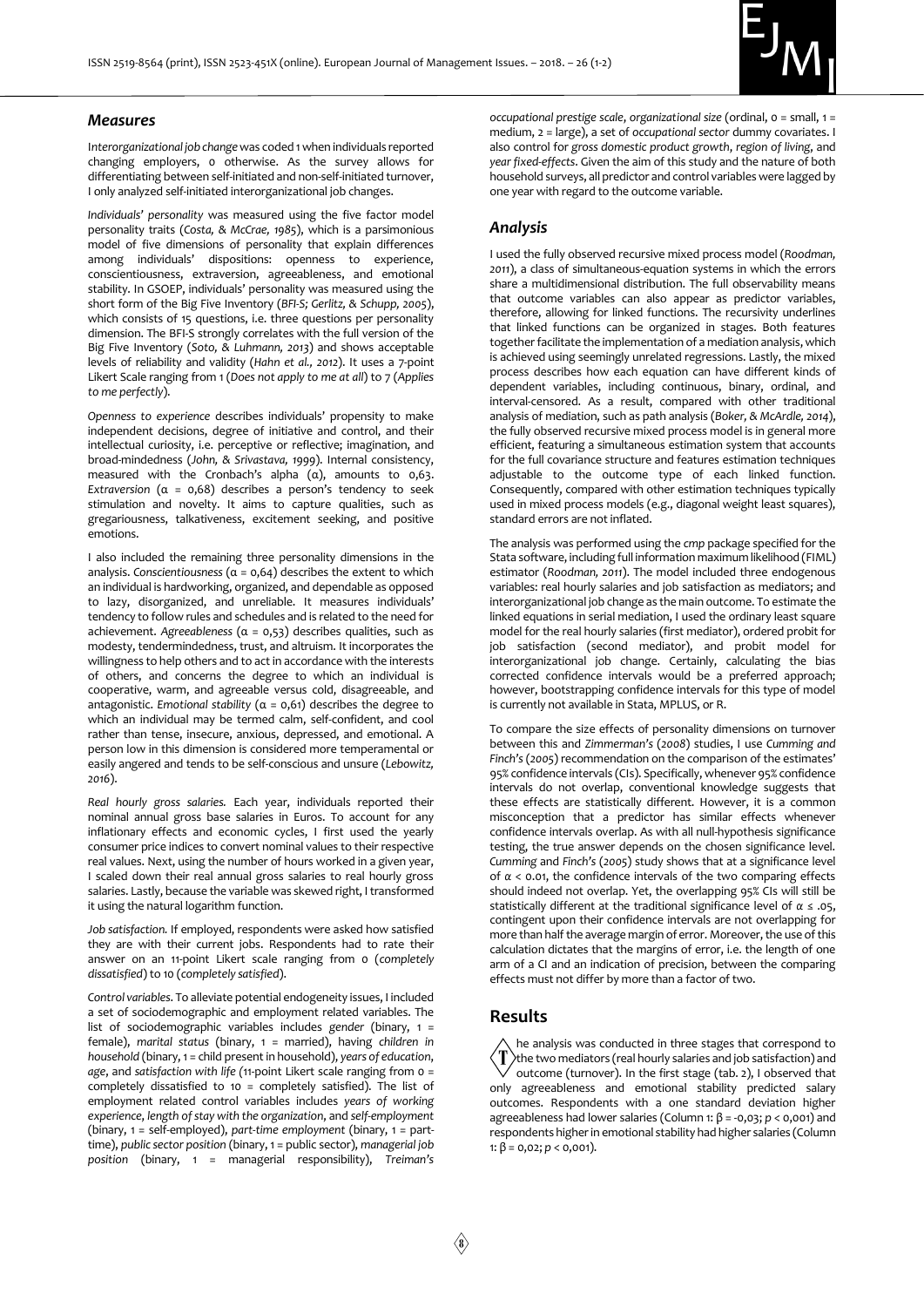

#### *Measures*

I*nterorganizational job change* was coded 1 when individuals reported changing employers, 0 otherwise. As the survey allows for differentiating between self-initiated and non-self-initiated turnover, I only analyzed self-initiated interorganizational job changes.

*Individuals' personality* was measured using the five factor model personality traits (*Costa, & McCrae, 1985*), which is a parsimonious model of five dimensions of personality that explain differences among individuals' dispositions: openness to experience, conscientiousness, extraversion, agreeableness, and emotional stability. In GSOEP, individuals' personality was measured using the short form of the Big Five Inventory (*BFI-S; Gerlitz, & Schupp, 2005*), which consists of 15 questions, i.e. three questions per personality dimension. The BFI-S strongly correlates with the full version of the Big Five Inventory (*Soto, & Luhmann, 2013*) and shows acceptable levels of reliability and validity (*Hahn et al., 2012*). It uses a 7-point Likert Scale ranging from 1 (*Does not apply to me at all*) to 7 (*Applies to me perfectly*).

*Openness to experience* describes individuals' propensity to make independent decisions, degree of initiative and control, and their intellectual curiosity, i.e. perceptive or reflective; imagination, and broad-mindedness (*John, & Srivastava, 1999*). Internal consistency, measured with the Cronbach's alpha  $(\alpha)$ , amounts to 0,63. *Extraversion* (α = 0,68) describes a person's tendency to seek stimulation and novelty. It aims to capture qualities, such as gregariousness, talkativeness, excitement seeking, and positive emotions.

I also included the remaining three personality dimensions in the analysis. Conscientiousness ( $\alpha$  = 0.64) describes the extent to which an individual is hardworking, organized, and dependable as opposed to lazy, disorganized, and unreliable. It measures individuals' tendency to follow rules and schedules and is related to the need for achievement. *Agreeableness* (α = 0,53) describes qualities, such as modesty, tendermindedness, trust, and altruism. It incorporates the willingness to help others and to act in accordance with the interests of others, and concerns the degree to which an individual is cooperative, warm, and agreeable versus cold, disagreeable, and antagonistic. *Emotional stability* (α = 0,61) describes the degree to which an individual may be termed calm, self-confident, and cool rather than tense, insecure, anxious, depressed, and emotional. A person low in this dimension is considered more temperamental or easily angered and tends to be self-conscious and unsure (*Lebowitz, 2016*).

*Real hourly gross salaries.* Each year, individuals reported their nominal annual gross base salaries in Euros. To account for any inflationary effects and economic cycles, I first used the yearly consumer price indices to convert nominal values to their respective real values. Next, using the number of hours worked in a given year, I scaled down their real annual gross salaries to real hourly gross salaries. Lastly, because the variable was skewed right, I transformed it using the natural logarithm function.

*Job satisfaction.* If employed, respondents were asked how satisfied they are with their current jobs. Respondents had to rate their answer on an 11-point Likert scale ranging from 0 (*completely dissatisfied*) to 10 (*completely satisfied*).

*Control variables*. To alleviate potential endogeneity issues, I included a set of sociodemographic and employment related variables. The list of sociodemographic variables includes *gender* (binary, 1 = female), *marital status* (binary, 1 = married), having *children in household* (binary, 1 = child present in household), *years of education*, *age*, and *satisfaction with life (*11-point Likert scale ranging from 0 = completely dissatisfied to 10 = completely satisfied). The list of employment related control variables includes *years of working experience*, *length of stay with the organization*, and *self-employment* (binary, 1 = self-employed), *part-time employment* (binary, 1 = parttime), *public sector position* (binary, 1 = public sector), *managerial job position* (binary, 1 = managerial responsibility), *Treiman's* 

*occupational prestige scale*, *organizational size* (ordinal, 0 = small, 1 = medium, 2 = large), a set of *occupational sector* dummy covariates. I also control for *gross domestic product growth*, *region of living*, and *year fixed-effects*. Given the aim of this study and the nature of both household surveys, all predictor and control variables were lagged by one year with regard to the outcome variable.

### *Analysis*

I used the fully observed recursive mixed process model (*Roodman, 2011*), a class of simultaneous-equation systems in which the errors share a multidimensional distribution. The full observability means that outcome variables can also appear as predictor variables, therefore, allowing for linked functions. The recursivity underlines that linked functions can be organized in stages. Both features together facilitate the implementation of a mediation analysis, which is achieved using seemingly unrelated regressions. Lastly, the mixed process describes how each equation can have different kinds of dependent variables, including continuous, binary, ordinal, and interval-censored. As a result, compared with other traditional analysis of mediation, such as path analysis (*Boker, & McArdle, 2014*), the fully observed recursive mixed process model is in general more efficient, featuring a simultaneous estimation system that accounts for the full covariance structure and features estimation techniques adjustable to the outcome type of each linked function. Consequently, compared with other estimation techniques typically used in mixed process models (e.g., diagonal weight least squares), standard errors are not inflated.

The analysis was performed using the *cmp* package specified for the Stata software, including full information maximum likelihood (FIML) estimator (*Roodman, 2011*). The model included three endogenous variables: real hourly salaries and job satisfaction as mediators; and interorganizational job change as the main outcome. To estimate the linked equations in serial mediation, I used the ordinary least square model for the real hourly salaries (first mediator), ordered probit for job satisfaction (second mediator), and probit model for interorganizational job change. Certainly, calculating the bias corrected confidence intervals would be a preferred approach; however, bootstrapping confidence intervals for this type of model is currently not available in Stata, MPLUS, or R.

To compare the size effects of personality dimensions on turnover between this and *Zimmerman's* (*2008*) studies, I use *Cumming and Finch's*(*2005*) recommendation on the comparison of the estimates' 95% confidence intervals (CIs). Specifically, whenever 95% confidence intervals do not overlap, conventional knowledge suggests that these effects are statistically different. However, it is a common misconception that a predictor has similar effects whenever confidence intervals overlap. As with all null-hypothesis significance testing, the true answer depends on the chosen significance level. *Cumming* and *Finch's* (*2005*) study shows that at a significance level of *α* < 0.01, the confidence intervals of the two comparing effects should indeed not overlap. Yet, the overlapping 95% CIs will still be statistically different at the traditional significance level of *α* ≤ .05, contingent upon their confidence intervals are not overlapping for more than half the average margin of error. Moreover, the use of this calculation dictates that the margins of error, i.e. the length of one arm of a CI and an indication of precision, between the comparing effects must not differ by more than a factor of two.

## **Results**

he analysis was conducted in three stages that correspond to T) the two mediators (real hourly salaries and job satisfaction) and outcome (turnover). In the first stage (tab. 2), I observed that only agreeableness and emotional stability predicted salary outcomes. Respondents with a one standard deviation higher agreeableness had lower salaries (Column 1: β = -0,03; *p* < 0,001) and respondents higher in emotional stability had higher salaries (Column 1:  $\beta$  = 0,02; *p* < 0,001).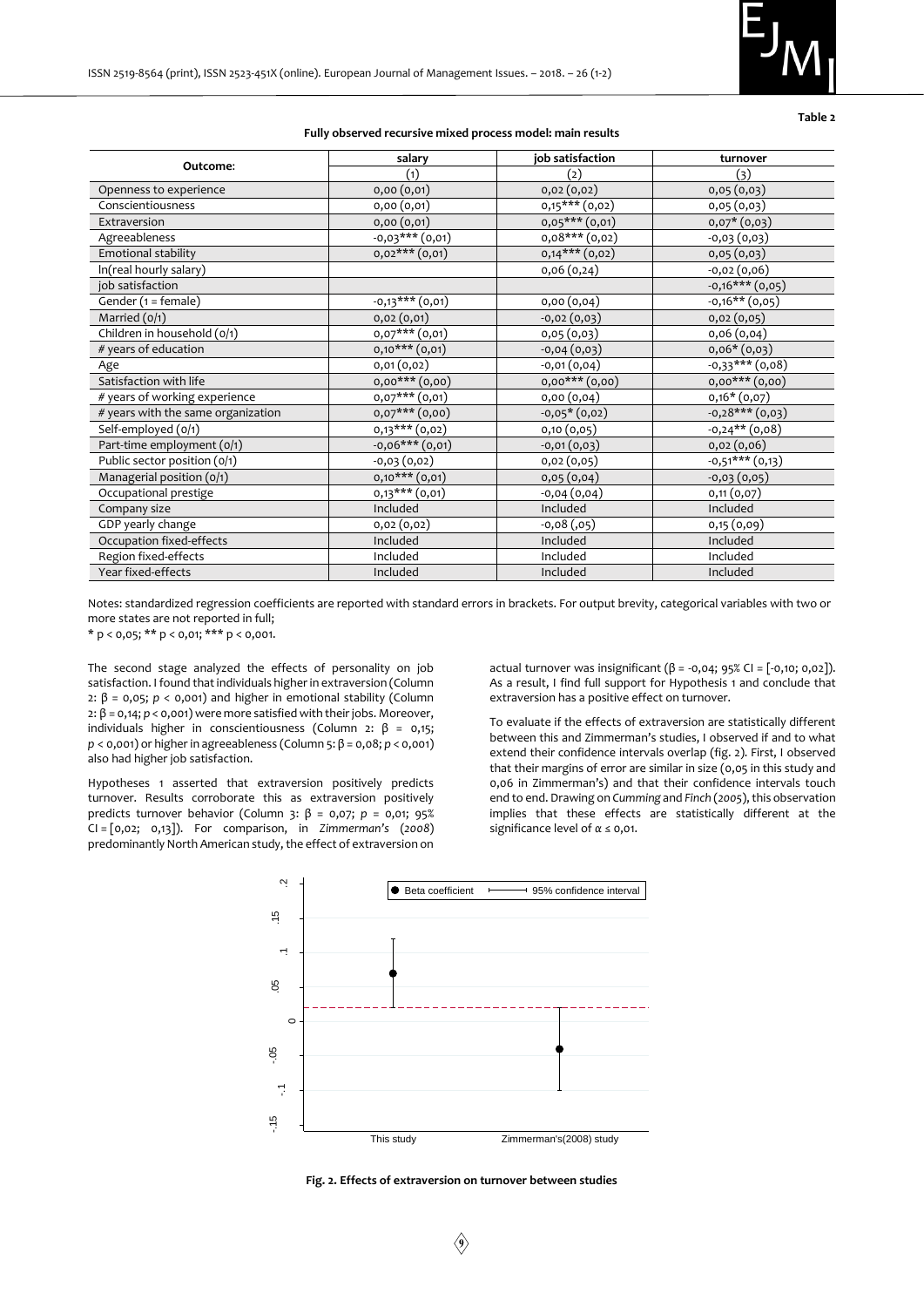

**Table 2**

|                                    | salary             | job satisfaction   | turnover                    |
|------------------------------------|--------------------|--------------------|-----------------------------|
| Outcome:                           | (1)                | (2)                | (3)                         |
| Openness to experience             | 0,00(0,01)         | 0,02(0,02)         | 0,05(0,03)                  |
| Conscientiousness                  | 0,00(0,01)         | $0,15***$ $(0,02)$ | 0,05(0,03)                  |
| Extraversion                       | 0,00(0,01)         | $0,05***$ $(0,01)$ | $0,07*(0,03)$               |
| Agreeableness                      | $-0.03***$ (0.01)  | $0,08***$ (0,02)   | $-0,03(0,03)$               |
| Emotional stability                | $0,02***$ $(0,01)$ | $0,14***$ $(0,02)$ | 0,05(0,03)                  |
| In(real hourly salary)             |                    | 0,06(0,24)         | $-0,02(0,06)$               |
| job satisfaction                   |                    |                    | $-0,16***$ (0,05)           |
| Gender (1 = female)                | $-0,13***$ (0,01)  | 0,00(0,04)         | $-0,16**$ (0,05)            |
| Married $(o/1)$                    | 0,02(0,01)         | $-0,02(0,03)$      | 0,02(0,05)                  |
| Children in household (0/1)        | $0,07***$ $(0,01)$ | 0,05(0,03)         | 0,06(0,04)                  |
| # years of education               | $0,10***$ $(0,01)$ | $-0,04(0,03)$      | $0,06*(0,03)$               |
| Age                                | 0,01(0,02)         | $-0,01(0,04)$      | $-0,33***$ (0,08)           |
| Satisfaction with life             | $0,00***$ $(0,00)$ | $0,00***$ $(0,00)$ | $0,00***$ $(0,00)$          |
| # years of working experience      | $0,07***$ $(0,01)$ | 0,00(0,04)         | $0,16*(0,07)$               |
| # years with the same organization | $0,07***$ $(0,00)$ | $-0.05*(0.02)$     | $-0,28***$ (0,03)           |
| Self-employed (0/1)                | 0,13*** (0,02)     | 0,10(0,05)         | $-0,24**$ (0,08)            |
| Part-time employment (0/1)         | $-0,06***$ (0,01)  | $-0,01(0,03)$      | 0,02(0,06)                  |
| Public sector position (0/1)       | $-0,03(0,02)$      | 0,02(0,05)         | $\overline{-0,51***(0,13)}$ |
| Managerial position (0/1)          | $0,10***$ $(0,01)$ | 0,05(0,04)         | $-0,03(0,05)$               |
| Occupational prestige              | $0,13***$ $(0,01)$ | $-0,04(0,04)$      | 0,11(0,07)                  |
| Company size                       | Included           | Included           | Included                    |
| GDP yearly change                  | 0,02(0,02)         | $-0,08(,05)$       | 0,15(0,09)                  |
| Occupation fixed-effects           | Included           | Included           | Included                    |
| Region fixed-effects               | Included           | Included           | Included                    |
| Year fixed-effects                 | Included           | Included           | Included                    |

#### **Fully observed recursive mixed process model: main results**

Notes: standardized regression coefficients are reported with standard errors in brackets. For output brevity, categorical variables with two or more states are not reported in full;

\* p < 0,05; \*\* p < 0,01; \*\*\* p < 0,001.

The second stage analyzed the effects of personality on job satisfaction. I found that individuals higher in extraversion (Column 2:  $β = 0,05$ ;  $p < 0,001$ ) and higher in emotional stability (Column 2: β = 0,14; *p* < 0,001) were more satisfied with their jobs. Moreover, individuals higher in conscientiousness (Column 2: β = 0,15; *p* < 0,001) or higher in agreeableness (Column 5: β = 0,08; *p* < 0,001) also had higher job satisfaction.

Hypotheses 1 asserted that extraversion positively predicts turnover. Results corroborate this as extraversion positively predicts turnover behavior (Column 3: β = 0,07; *p* = 0,01; 95% CI = [0,02; 0,13]). For comparison, in *Zimmerman's* (*2008*) predominantly North American study, the effect of extraversion on

actual turnover was insignificant ( $β = -0.04$ ; 95% CI = [-0.10; 0.02]). As a result, I find full support for Hypothesis 1 and conclude that extraversion has a positive effect on turnover.

To evaluate if the effects of extraversion are statistically different between this and Zimmerman's studies, I observed if and to what extend their confidence intervals overlap (fig. 2). First, I observed that their margins of error are similar in size (0,05 in this study and 0,06 in Zimmerman's) and that their confidence intervals touch end to end. Drawing on *Cumming* and *Finch* (*2005*), this observation implies that these effects are statistically different at the significance level of *α* ≤ 0,01.



**Fig. 2. Effects of extraversion on turnover between studies**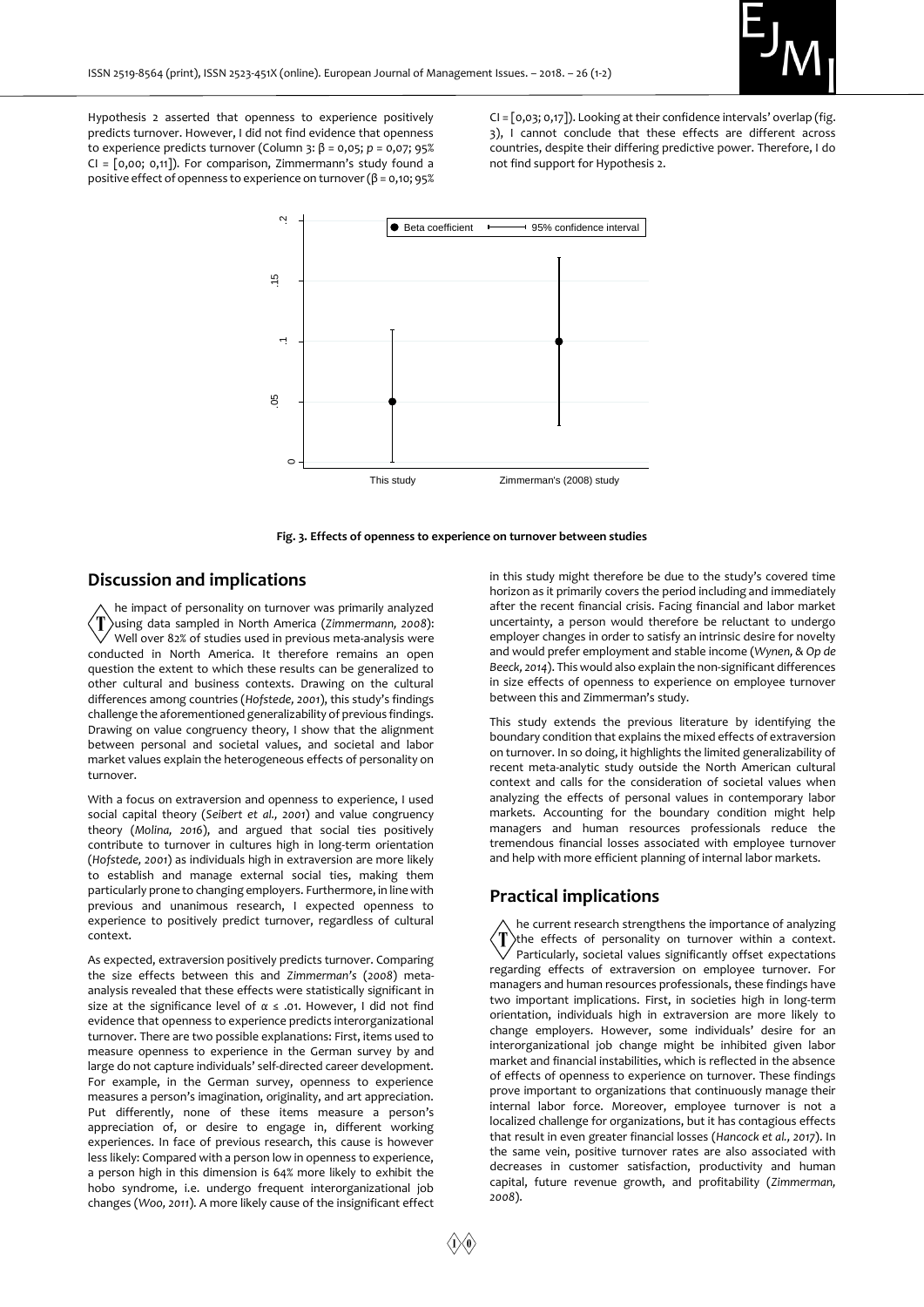

Hypothesis 2 asserted that openness to experience positively predicts turnover. However, I did not find evidence that openness to experience predicts turnover (Column 3: β = 0,05; *p* = 0,07; 95%  $CI = [0,00; 0,11]$ . For comparison, Zimmermann's study found a positive effect of openness to experience on turnover (β = 0,10; 95%

CI = [0,03; 0,17]). Looking at their confidence intervals' overlap (fig. 3), I cannot conclude that these effects are different across countries, despite their differing predictive power. Therefore, I do not find support for Hypothesis 2.



**Fig. 3. Effects of openness to experience on turnover between studies**

#### **Discussion and implications**

he impact of personality on turnover was primarily analyzed using data sampled in North America (*Zimmermann, 2008*): Well over 82% of studies used in previous meta-analysis were conducted in North America. It therefore remains an open question the extent to which these results can be generalized to other cultural and business contexts. Drawing on the cultural differences among countries (*Hofstede, 2001*), this study's findings challenge the aforementioned generalizability of previous findings. Drawing on value congruency theory, I show that the alignment between personal and societal values, and societal and labor market values explain the heterogeneous effects of personality on turnover.

With a focus on extraversion and openness to experience, I used social capital theory (*Seibert et al., 2001*) and value congruency theory (*Molina, 2016*), and argued that social ties positively contribute to turnover in cultures high in long-term orientation (*Hofstede, 2001*) as individuals high in extraversion are more likely to establish and manage external social ties, making them particularly prone to changing employers. Furthermore, in line with previous and unanimous research, I expected openness to experience to positively predict turnover, regardless of cultural context.

As expected, extraversion positively predicts turnover. Comparing the size effects between this and *Zimmerman's* (*2008*) metaanalysis revealed that these effects were statistically significant in size at the significance level of *α* ≤ .01. However, I did not find evidence that openness to experience predicts interorganizational turnover. There are two possible explanations: First, items used to measure openness to experience in the German survey by and large do not capture individuals' self-directed career development. For example, in the German survey, openness to experience measures a person's imagination, originality, and art appreciation. Put differently, none of these items measure a person's appreciation of, or desire to engage in, different working experiences. In face of previous research, this cause is however less likely: Compared with a person low in openness to experience, a person high in this dimension is 64% more likely to exhibit the hobo syndrome, i.e. undergo frequent interorganizational job changes (*Woo, 2011*). A more likely cause of the insignificant effect

in this study might therefore be due to the study's covered time horizon as it primarily covers the period including and immediately after the recent financial crisis. Facing financial and labor market uncertainty, a person would therefore be reluctant to undergo employer changes in order to satisfy an intrinsic desire for novelty and would prefer employment and stable income (*Wynen, & Op de Beeck, 2014*). This would also explain the non-significant differences in size effects of openness to experience on employee turnover between this and Zimmerman's study.

This study extends the previous literature by identifying the boundary condition that explains the mixed effects of extraversion on turnover. In so doing, it highlights the limited generalizability of recent meta-analytic study outside the North American cultural context and calls for the consideration of societal values when analyzing the effects of personal values in contemporary labor markets. Accounting for the boundary condition might help managers and human resources professionals reduce the tremendous financial losses associated with employee turnover and help with more efficient planning of internal labor markets.

#### **Practical implications**

he current research strengthens the importance of analyzing T the effects of personality on turnover within a context. Particularly, societal values significantly offset expectations regarding effects of extraversion on employee turnover. For managers and human resources professionals, these findings have two important implications. First, in societies high in long-term orientation, individuals high in extraversion are more likely to change employers. However, some individuals' desire for an interorganizational job change might be inhibited given labor market and financial instabilities, which is reflected in the absence of effects of openness to experience on turnover. These findings prove important to organizations that continuously manage their internal labor force. Moreover, employee turnover is not a localized challenge for organizations, but it has contagious effects that result in even greater financial losses (*Hancock et al., 2017*). In the same vein, positive turnover rates are also associated with decreases in customer satisfaction, productivity and human capital, future revenue growth, and profitability (*Zimmerman, 2008*).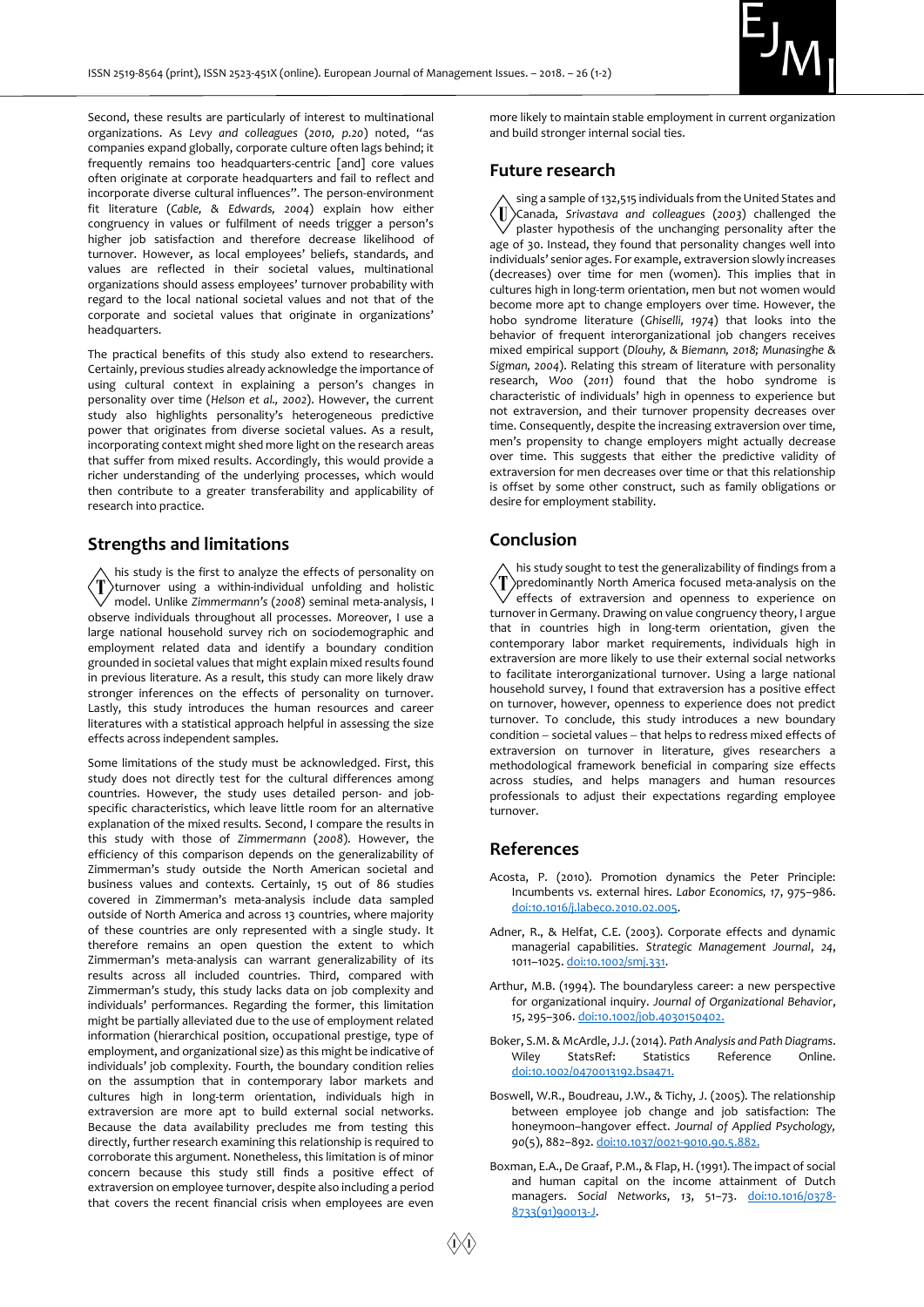

Second, these results are particularly of interest to multinational organizations. As *Levy and colleagues* (*2010, p.20*) noted, "as companies expand globally, corporate culture often lags behind; it frequently remains too headquarters-centric [and] core values often originate at corporate headquarters and fail to reflect and incorporate diverse cultural influences". The person-environment fit literature (*Cable, & Edwards, 2004*) explain how either congruency in values or fulfilment of needs trigger a person's higher job satisfaction and therefore decrease likelihood of turnover. However, as local employees' beliefs, standards, and values are reflected in their societal values, multinational organizations should assess employees' turnover probability with regard to the local national societal values and not that of the corporate and societal values that originate in organizations' headquarters.

The practical benefits of this study also extend to researchers. Certainly, previous studies already acknowledge the importance of using cultural context in explaining a person's changes in personality over time (*Helson et al., 2002*). However, the current study also highlights personality's heterogeneous predictive power that originates from diverse societal values. As a result, incorporating context might shed more light on the research areas that suffer from mixed results. Accordingly, this would provide a richer understanding of the underlying processes, which would then contribute to a greater transferability and applicability of research into practice.

#### **Strengths and limitations**

his study is the first to analyze the effects of personality on  $\langle T \rangle$ turnover using a within-individual unfolding and holistic model. Unlike *Zimmermann's* (*2008*) seminal meta-analysis, I observe individuals throughout all processes. Moreover, I use a large national household survey rich on sociodemographic and employment related data and identify a boundary condition grounded in societal values that might explain mixed results found in previous literature. As a result, this study can more likely draw stronger inferences on the effects of personality on turnover. Lastly, this study introduces the human resources and career literatures with a statistical approach helpful in assessing the size effects across independent samples.

Some limitations of the study must be acknowledged. First, this study does not directly test for the cultural differences among countries. However, the study uses detailed person- and jobspecific characteristics, which leave little room for an alternative explanation of the mixed results. Second, I compare the results in this study with those of *Zimmermann* (*2008*). However, the efficiency of this comparison depends on the generalizability of Zimmerman's study outside the North American societal and business values and contexts. Certainly, 15 out of 86 studies covered in Zimmerman's meta-analysis include data sampled outside of North America and across 13 countries, where majority of these countries are only represented with a single study. It therefore remains an open question the extent to which Zimmerman's meta-analysis can warrant generalizability of its results across all included countries. Third, compared with Zimmerman's study, this study lacks data on job complexity and individuals' performances. Regarding the former, this limitation might be partially alleviated due to the use of employment related information (hierarchical position, occupational prestige, type of employment, and organizational size) as this might be indicative of individuals' job complexity. Fourth, the boundary condition relies on the assumption that in contemporary labor markets and cultures high in long-term orientation, individuals high in extraversion are more apt to build external social networks. Because the data availability precludes me from testing this directly, further research examining this relationship is required to corroborate this argument. Nonetheless, this limitation is of minor concern because this study still finds a positive effect of extraversion on employee turnover, despite also including a period that covers the recent financial crisis when employees are even

more likely to maintain stable employment in current organization and build stronger internal social ties.

#### **Future research**

sing a sample of 132,515 individuals from the United States and  $\langle \mathrm{I\hspace{-.1em}I} \rangle$ Canada, *Srivastava and colleagues* (*2003*) challenged the plaster hypothesis of the unchanging personality after the age of 30. Instead, they found that personality changes well into individuals' senior ages. For example, extraversion slowly increases (decreases) over time for men (women). This implies that in cultures high in long-term orientation, men but not women would become more apt to change employers over time. However, the hobo syndrome literature (*Ghiselli, 1974*) that looks into the behavior of frequent interorganizational job changers receives mixed empirical support (*Dlouhy, & Biemann, 2018; Munasinghe & Sigman, 2004*). Relating this stream of literature with personality research, *Woo* (*2011*) found that the hobo syndrome is characteristic of individuals' high in openness to experience but not extraversion, and their turnover propensity decreases over time. Consequently, despite the increasing extraversion over time, men's propensity to change employers might actually decrease over time. This suggests that either the predictive validity of extraversion for men decreases over time or that this relationship is offset by some other construct, such as family obligations or desire for employment stability.

#### **Conclusion**

his study sought to test the generalizability of findings from a predominantly North America focused meta-analysis on the effects of extraversion and openness to experience on turnover in Germany. Drawing on value congruency theory, I argue that in countries high in long-term orientation, given the contemporary labor market requirements, individuals high in extraversion are more likely to use their external social networks to facilitate interorganizational turnover. Using a large national household survey, I found that extraversion has a positive effect on turnover, however, openness to experience does not predict turnover. To conclude, this study introduces a new boundary  $condition - social values - that helps to redress mixed effects of$ extraversion on turnover in literature, gives researchers a methodological framework beneficial in comparing size effects across studies, and helps managers and human resources professionals to adjust their expectations regarding employee .<br>turnover.

#### **References**

- Acosta, P. (2010). Promotion dynamics the Peter Principle: Incumbents vs. external hires. *Labor Economics, 17*, 975–986. [doi:10.1016/j.labeco.2010.02.005.](https://doi.org/10.1016/j.labeco.2010.02.005)
- Adner, R., & Helfat, C.E. (2003). Corporate effects and dynamic managerial capabilities. *Strategic Management Journal*, *24*, 1011–1025[. doi:10.1002/smj.331.](https://doi.org/10.1002/smj.331)
- Arthur, M.B. (1994). The boundaryless career: a new perspective for organizational inquiry. *Journal of Organizational Behavior*, *15*, 295–306[. doi:10.1002/job.4030150402.](https://doi.org/10.1002/job.4030150402)
- Boker, S.M. & McArdle, J.J. (2014). *Path Analysis and Path Diagrams*. Wiley StatsRef: Statistics Reference Online. [doi:10.1002/0470013192.bsa471.](https://doi.org/10.1002/0470013192.bsa471)
- Boswell, W.R., Boudreau, J.W., & Tichy, J. (2005). The relationship between employee job change and job satisfaction: The honeymoon–hangover effect. *Journal of Applied Psychology, 90*(5), 882–892[. doi:10.1037/0021-9010.90.5.882.](https://doi.org/10.1037/0021-9010.90.5.882)
- Boxman, E.A., De Graaf, P.M., & Flap, H. (1991). The impact of social and human capital on the income attainment of Dutch managers. *Social Networks*, *13*, 51−73. [doi:10.1016/0378-](doi:10.1016/0378-8733(91)90013-J) [8733\(91\)90013-J.](doi:10.1016/0378-8733(91)90013-J)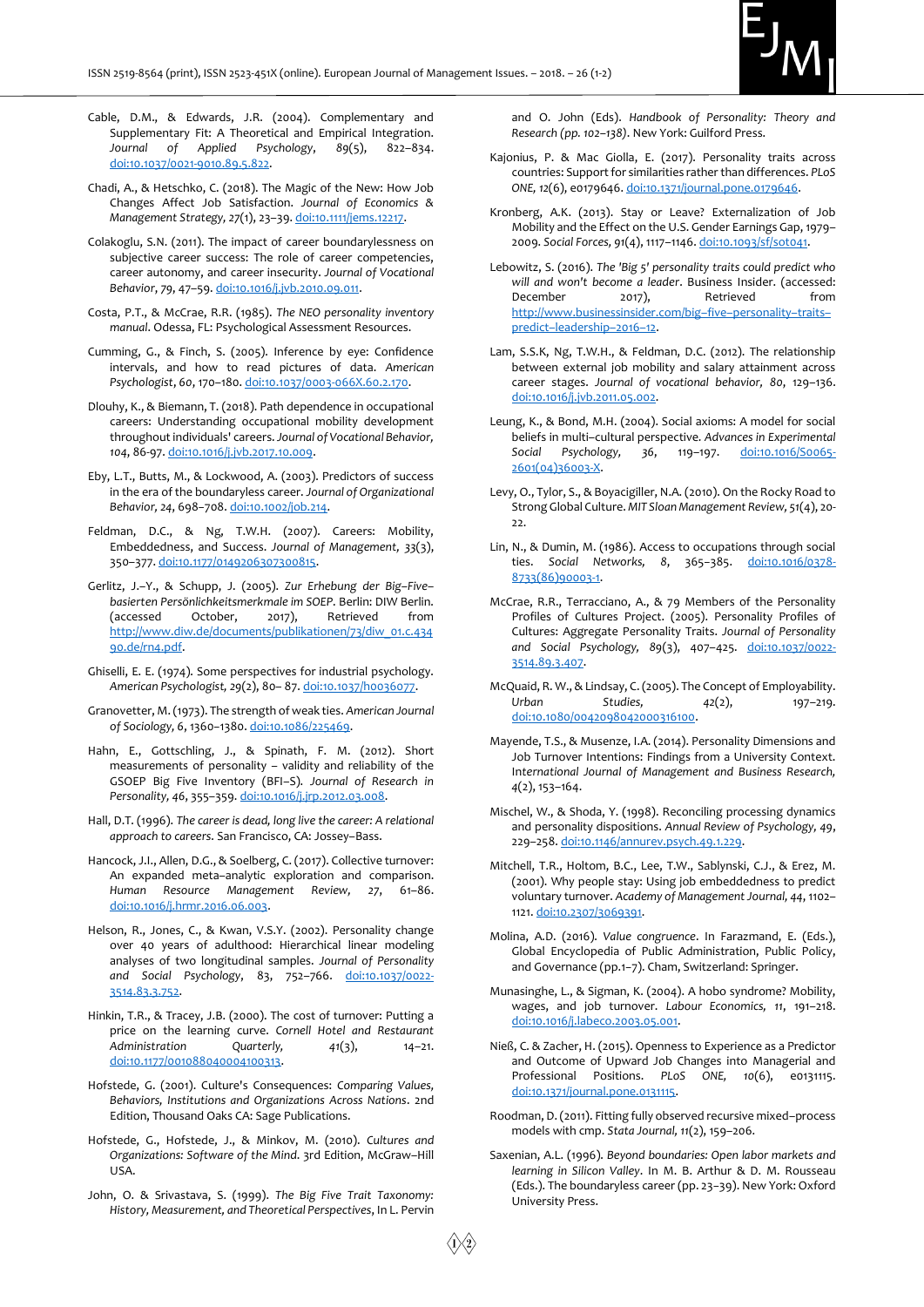

- Cable, D.M., & Edwards, J.R. (2004). Complementary and Supplementary Fit: A Theoretical and Empirical Integration. *Journal of Applied Psychology*, *89*(5), 822–834. [doi:10.1037/0021-9010.89.5.822.](doi:10.1037/0021-9010.89.5.822)
- Chadi, A., & Hetschko, C. (2018). The Magic of the New: How Job Changes Affect Job Satisfaction. *Journal of Economics & Management Strategy, 27*(1), 23–39[. doi:10.1111/jems.12217.](doi:10.1111/jems.12217)
- Colakoglu, S.N. (2011). The impact of career boundarylessness on subjective career success: The role of career competencies, career autonomy, and career insecurity. *Journal of Vocational Behavior*, *79*, 47–59[. doi:10.1016/j.jvb.2010.09.011.](doi:10.1016/j.jvb.2010.09.011)
- Costa, P.T., & McCrae, R.R. (1985). *The NEO personality inventory manual*. Odessa, FL: Psychological Assessment Resources.
- Cumming, G., & Finch, S. (2005). Inference by eye: Confidence intervals, and how to read pictures of data. *American Psychologist*, *60*, 170–180[. doi:10.1037/0003-066X.60.2.170.](https://doi.org/10.1037/0003-066X.60.2.170)
- Dlouhy, K., & Biemann, T. (2018). Path dependence in occupational careers: Understanding occupational mobility development throughout individuals' careers. *Journal of Vocational Behavior, 104*, 86-97[. doi:10.1016/j.jvb.2017.10.009.](https://doi.org/10.1016/j.jvb.2017.10.009)
- Eby, L.T., Butts, M., & Lockwood, A. (2003). Predictors of success in the era of the boundaryless career. *Journal of Organizational Behavior, 24*, 698−708. [doi:10.1002/job.214.](https://doi.org/10.1002/job.214)
- Feldman, D.C., & Ng, T.W.H. (2007). Careers: Mobility, Embeddedness, and Success. *Journal of Management, 33*(3), 350–377[. doi:10.1177/0149206307300815.](https://doi.org/10.1177/0149206307300815)
- Gerlitz, J.–Y., & Schupp, J. (2005). *Zur Erhebung der Big–Five– basierten Persönlichkeitsmerkmale im SOEP*. Berlin: DIW Berlin. (accessed October, 2017), Retrieved from [http://www.diw.de/documents/publikationen/73/diw\\_01.c.434](http://www.diw.de/documents/publikationen/73/diw_01.c.43490.de/rn4.pdf) [90.de/rn4.pdf.](http://www.diw.de/documents/publikationen/73/diw_01.c.43490.de/rn4.pdf)
- Ghiselli, E. E. (1974). Some perspectives for industrial psychology. *American Psychologist, 29*(2), 80– 87[. doi:10.1037/h0036077.](doi:10.1037/h0036077)
- Granovetter, M. (1973). The strength of weak ties. *American Journal of Sociology, 6*, 1360−1380. [doi:10.1086/225469.](https://doi.org/10.1086/225469)
- Hahn, E., Gottschling, J., & Spinath, F. M. (2012). Short measurements of personality – validity and reliability of the GSOEP Big Five Inventory (BFI–S). *Journal of Research in Personality, 46*, 355–359[. doi:10.1016/j.jrp.2012.03.008.](https://doi.org/10.1016/j.jrp.2012.03.008)
- Hall, D.T. (1996). *The career is dead, long live the career: A relational approach to careers*. San Francisco, CA: Jossey–Bass.
- Hancock, J.I., Allen, D.G., & Soelberg, C. (2017). Collective turnover: An expanded meta–analytic exploration and comparison. *Human Resource Management Review, 27*, 61–86. [doi:10.1016/j.hrmr.2016.06.003.](https://doi.org/10.1016/j.hrmr.2016.06.003)
- Helson, R., Jones, C., & Kwan, V.S.Y. (2002). Personality change over 40 years of adulthood: Hierarchical linear modeling analyses of two longitudinal samples. *Journal of Personality and Social Psychology*, 83, 752–766. [doi:10.1037/0022-](doi:10.1037/0022-3514.83.3.752) [3514.83.3.752.](doi:10.1037/0022-3514.83.3.752)
- Hinkin, T.R., & Tracey, J.B. (2000). The cost of turnover: Putting a price on the learning curve. *Cornell Hotel and Restaurant Administration Quarterly, 41*(3), 14–21. [doi:10.1177/001088040004100313.](https://doi.org/10.1177/001088040004100313)
- Hofstede, G. (2001). Culture's Consequences: *Comparing Values, Behaviors, Institutions and Organizations Across Nations*. 2nd Edition, Thousand Oaks CA: Sage Publications.
- Hofstede, G., Hofstede, J., & Minkov, M. (2010). *Cultures and Organizations: Software of the Mind*. 3rd Edition, McGraw–Hill USA.
- John, O. & Srivastava, S. (1999). *The Big Five Trait Taxonomy: History, Measurement, and Theoretical Perspectives*, In L. Pervin

and O. John (Eds). *Handbook of Personality: Theory and Research (pp. 102–138)*. New York: Guilford Press.

- Kajonius, P. & Mac Giolla, E. (2017). Personality traits across countries: Support for similarities rather than differences. *PLoS ONE, 12*(6), e0179646[. doi:10.1371/journal.pone.0179646.](https://doi.org/10.1371/journal.pone.0179646)
- Kronberg, A.K. (2013). Stay or Leave? Externalization of Job Mobility and the Effect on the U.S. Gender Earnings Gap, 1979– 2009. *Social Forces, 91*(4), 1117–1146[. doi:10.1093/sf/sot041.](https://doi.org/10.1093/sf/sot041)
- Lebowitz, S. (2016). *The 'Big 5' personality traits could predict who will and won't become a leader*. Business Insider. (accessed: December 2017), Retrieved from [http://www.businessinsider.com/big](http://www.businessinsider.com/big–five–personality–traits–predict–leadership–2016–12)–five–personality–traits– predict–[leadership](http://www.businessinsider.com/big–five–personality–traits–predict–leadership–2016–12)–2016–12.
- Lam, S.S.K, Ng, T.W.H., & Feldman, D.C. (2012). The relationship between external job mobility and salary attainment across career stages. *Journal of vocational behavior, 80*, 129–136. [doi:10.1016/j.jvb.2011.05.002.](https://doi.org/10.1016/j.jvb.2011.05.002)
- Leung, K., & Bond, M.H. (2004). Social axioms: A model for social beliefs in multi–cultural perspective*. Advances in Experimental Social Psychology, 36*, 119–197. [doi:10.1016/S0065-](https://doi.org/10.1016/S0065-2601(04)36003-X) [2601\(04\)36003-X.](https://doi.org/10.1016/S0065-2601(04)36003-X)
- Levy, O., Tylor, S., & Boyacigiller, N.A. (2010). On the Rocky Road to Strong Global Culture. *MIT Sloan Management Review, 51*(4), 20- 22.
- Lin, N., & Dumin, M. (1986). Access to occupations through social ties. *Social Networks, 8*, 365−385. [doi:10.1016/0378-](https://doi.org/10.1016/0378-8733(86)90003-1) [8733\(86\)90003-1.](https://doi.org/10.1016/0378-8733(86)90003-1)
- McCrae, R.R., Terracciano, A., & 79 Members of the Personality Profiles of Cultures Project. (2005). Personality Profiles of Cultures: Aggregate Personality Traits. *Journal of Personality and Social Psychology, 89*(3), 407–425. [doi:10.1037/0022-](https://doi.org/10.1037/0022-3514.89.3.407) [3514.89.3.407.](https://doi.org/10.1037/0022-3514.89.3.407)
- McQuaid, R. W., & Lindsay, C. (2005). The Concept of Employability. Urban Studies, 42(2), 197-219. [doi:10.1080/0042098042000316100.](https://doi.org/10.1080/0042098042000316100)
- Mayende, T.S., & Musenze, I.A. (2014). Personality Dimensions and Job Turnover Intentions: Findings from a University Context. In*ternational Journal of Management and Business Research, 4*(2), 153–164.
- Mischel, W., & Shoda, Y. (1998). Reconciling processing dynamics and personality dispositions. *Annual Review of Psychology, 49*, 229–258[. doi:10.1146/annurev.psych.49.1.229.](doi:10.1146/annurev.psych.49.1.229)
- Mitchell, T.R., Holtom, B.C., Lee, T.W., Sablynski, C.J., & Erez, M. (2001). Why people stay: Using job embeddedness to predict voluntary turnover. *Academy of Management Journal, 44*, 1102– 1121[. doi:10.2307/3069391.](https://doi.org/10.2307/3069391)
- Molina, A.D. (2016). *Value congruence*. In Farazmand, E. (Eds.), Global Encyclopedia of Public Administration, Public Policy, and Governance (pp.1−7). Cham, Switzerland: Springer.
- Munasinghe, L., & Sigman, K. (2004). A hobo syndrome? Mobility, wages, and job turnover. *Labour Economics, 11*, 191–218. [doi:10.1016/j.labeco.2003.05.001.](https://doi.org/10.1016/j.labeco.2003.05.001)
- Nieß, C. & Zacher, H. (2015). Openness to Experience as a Predictor and Outcome of Upward Job Changes into Managerial and Professional Positions. *PLoS ONE, 10*(6), e0131115. [doi:10.1371/journal.pone.0131115.](https://doi.org/10.1371/journal.pone.0131115)
- Roodman, D. (2011). Fitting fully observed recursive mixed–process models with cmp. *Stata Journal, 11*(2), 159–206.
- Saxenian, A.L. (1996). *Beyond boundaries: Open labor markets and learning in Silicon Valley*. In M. B. Arthur & D. M. Rousseau (Eds.). The boundaryless career (pp. 23−39). New York: Oxford University Press.